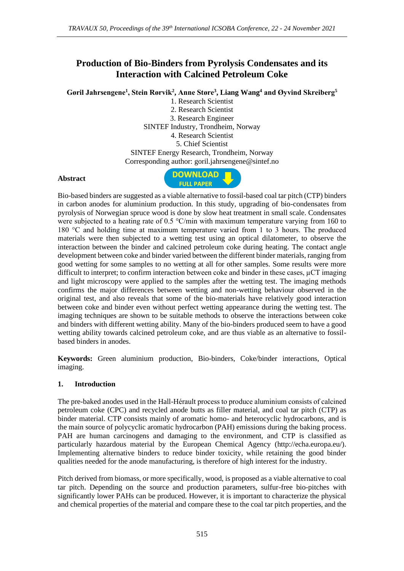# **Production of Bio-Binders from Pyrolysis Condensates and its Interaction with Calcined Petroleum Coke**

**Gøril Jahrsengene<sup>1</sup> , Stein Rørvik<sup>2</sup> , Anne Støre<sup>3</sup> , Liang Wang<sup>4</sup> and Øyvind Skreiberg<sup>5</sup>**

1. Research Scientist 2. Research Scientist 3. Research Engineer SINTEF Industry, Trondheim, Norway 4. Research Scientist 5. Chief Scientist SINTEF Energy Research, Trondheim, Norway Corresponding author: goril.jahrsengene@sintef.no

#### **Abstract**



Bio-based binders are suggested as a viable alternative to fossil-based coal tar pitch (CTP) binders in carbon anodes for aluminium production. In this study, upgrading of bio-condensates from pyrolysis of Norwegian spruce wood is done by slow heat treatment in small scale. Condensates were subjected to a heating rate of 0.5  $\degree$ C/min with maximum temperature varying from 160 to 180 °C and holding time at maximum temperature varied from 1 to 3 hours. The produced materials were then subjected to a wetting test using an optical dilatometer, to observe the interaction between the binder and calcined petroleum coke during heating. The contact angle development between coke and binder varied between the different binder materials, ranging from good wetting for some samples to no wetting at all for other samples. Some results were more difficult to interpret; to confirm interaction between coke and binder in these cases, µCT imaging and light microscopy were applied to the samples after the wetting test. The imaging methods confirms the major differences between wetting and non-wetting behaviour observed in the original test, and also reveals that some of the bio-materials have relatively good interaction between coke and binder even without perfect wetting appearance during the wetting test. The imaging techniques are shown to be suitable methods to observe the interactions between coke and binders with different wetting ability. Many of the bio-binders produced seem to have a good wetting ability towards calcined petroleum coke, and are thus viable as an alternative to fossilbased binders in anodes.

**Keywords:** Green aluminium production, Bio-binders, Coke/binder interactions, Optical imaging.

### **1. Introduction**

The pre-baked anodes used in the Hall-Hérault process to produce aluminium consists of calcined petroleum coke (CPC) and recycled anode butts as filler material, and coal tar pitch (CTP) as binder material. CTP consists mainly of aromatic homo- and heterocyclic hydrocarbons, and is the main source of polycyclic aromatic hydrocarbon (PAH) emissions during the baking process. PAH are human carcinogens and damaging to the environment, and CTP is classified as particularly hazardous material by the European Chemical Agency (http://echa.europa.eu/). Implementing alternative binders to reduce binder toxicity, while retaining the good binder qualities needed for the anode manufacturing, is therefore of high interest for the industry.

Pitch derived from biomass, or more specifically, wood, is proposed as a viable alternative to coal tar pitch. Depending on the source and production parameters, sulfur-free bio-pitches with significantly lower PAHs can be produced. However, it is important to characterize the physical and chemical properties of the material and compare these to the coal tar pitch properties, and the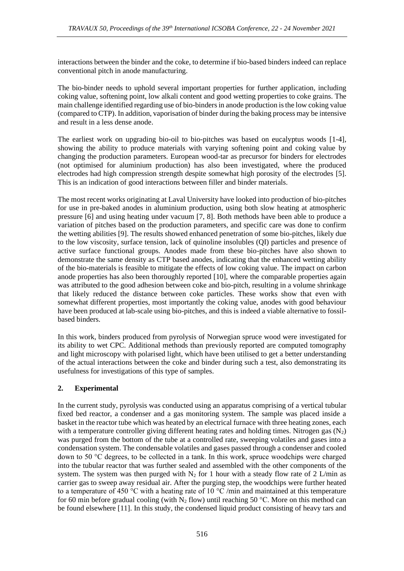interactions between the binder and the coke, to determine if bio-based binders indeed can replace conventional pitch in anode manufacturing.

The bio-binder needs to uphold several important properties for further application, including coking value, softening point, low alkali content and good wetting properties to coke grains. The main challenge identified regarding use of bio-binders in anode production is the low coking value (compared to CTP). In addition, vaporisation of binder during the baking process may be intensive and result in a less dense anode.

The earliest work on upgrading bio-oil to bio-pitches was based on eucalyptus woods [1-4], showing the ability to produce materials with varying softening point and coking value by changing the production parameters. European wood-tar as precursor for binders for electrodes (not optimised for aluminium production) has also been investigated, where the produced electrodes had high compression strength despite somewhat high porosity of the electrodes [5]. This is an indication of good interactions between filler and binder materials.

The most recent works originating at Laval University have looked into production of bio-pitches for use in pre-baked anodes in aluminium production, using both slow heating at atmospheric pressure [6] and using heating under vacuum [7, 8]. Both methods have been able to produce a variation of pitches based on the production parameters, and specific care was done to confirm the wetting abilities [9]. The results showed enhanced penetration of some bio-pitches, likely due to the low viscosity, surface tension, lack of quinoline insolubles (QI) particles and presence of active surface functional groups. Anodes made from these bio-pitches have also shown to demonstrate the same density as CTP based anodes, indicating that the enhanced wetting ability of the bio-materials is feasible to mitigate the effects of low coking value. The impact on carbon anode properties has also been thoroughly reported [10], where the comparable properties again was attributed to the good adhesion between coke and bio-pitch, resulting in a volume shrinkage that likely reduced the distance between coke particles. These works show that even with somewhat different properties, most importantly the coking value, anodes with good behaviour have been produced at lab-scale using bio-pitches, and this is indeed a viable alternative to fossilbased binders.

In this work, binders produced from pyrolysis of Norwegian spruce wood were investigated for its ability to wet CPC. Additional methods than previously reported are computed tomography and light microscopy with polarised light, which have been utilised to get a better understanding of the actual interactions between the coke and binder during such a test, also demonstrating its usefulness for investigations of this type of samples.

# **2. Experimental**

In the current study, pyrolysis was conducted using an apparatus comprising of a vertical tubular fixed bed reactor, a condenser and a gas monitoring system. The sample was placed inside a basket in the reactor tube which was heated by an electrical furnace with three heating zones, each with a temperature controller giving different heating rates and holding times. Nitrogen gas  $(N_2)$ was purged from the bottom of the tube at a controlled rate, sweeping volatiles and gases into a condensation system. The condensable volatiles and gases passed through a condenser and cooled down to 50 °C degrees, to be collected in a tank. In this work, spruce woodchips were charged into the tubular reactor that was further sealed and assembled with the other components of the system. The system was then purged with  $N_2$  for 1 hour with a steady flow rate of 2 L/min as carrier gas to sweep away residual air. After the purging step, the woodchips were further heated to a temperature of 450 °C with a heating rate of 10 °C /min and maintained at this temperature for 60 min before gradual cooling (with  $N_2$  flow) until reaching 50 °C. More on this method can be found elsewhere [11]. In this study, the condensed liquid product consisting of heavy tars and